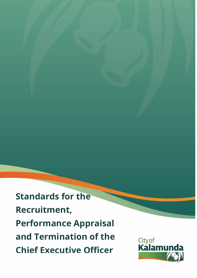**Standards for the Recruitment, Performance Appraisal and Termination of the Chief Executive Officer**

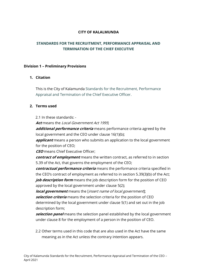#### **CITY OF KALALMUNDA**

### **STANDARDS FOR THE RECRUITMENT, PERFORMANCE APPRAISAL AND TERMINATION OF THE CHIEF EXECUTIVE**

#### **Division 1 – Preliminary Provisions**

#### **1. Citation**

This is the City of Kalamunda Standards for the Recruitment, Performance Appraisal and Termination of the Chief Executive Officer.

#### **2. Terms used**

2.1 In these standards: -

**Act** means the Local Government Act 1995;

**additional performance criteria** means performance criteria agreed by the local government and the CEO under clause 16(1)(b);

**applicant** means a person who submits an application to the local government for the position of CEO;

**CEO** means Chief Executive Officer;

**contract of employment** means the written contract, as referred to in section 5.39 of the Act, that governs the employment of the CEO;

**contractual performance criteria** means the performance criteria specified in the CEO's contract of employment as referred to in section 5.39(3)(b) of the Act; **job description form** means the job description form for the position of CEO approved by the local government under clause 5(2);

**local government** means the [insert name of local government];

**selection criteria** means the selection criteria for the position of CEO determined by the local government under clause 5(1) and set out in the job description form;

**selection panel** means the selection panel established by the local government under clause 8 for the employment of a person in the position of CEO.

2.2 Other terms used in this code that are also used in the Act have the same meaning as in the Act unless the contrary intention appears.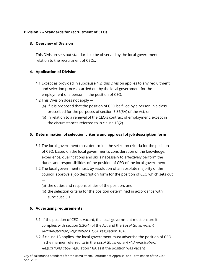### **Division 2 – Standards for recruitment of CEOs**

### **3. Overview of Division**

This Division sets out standards to be observed by the local government in relation to the recruitment of CEOs.

### **4. Application of Division**

- 4.1 Except as provided in subclause 4.2, this Division applies to any recruitment and selection process carried out by the local government for the employment of a person in the position of CEO.
- 4.2 This Division does not apply
	- (a) if it is proposed that the position of CEO be filled by a person in a class prescribed for the purposes of section 5.36(5A) of the Act; or
	- (b) in relation to a renewal of the CEO's contract of employment, except in the circumstances referred to in clause 13(2).

# **5. Determination of selection criteria and approval of job description form**

- 5.1 The local government must determine the selection criteria for the position of CEO, based on the local government's consideration of the knowledge, experience, qualifications and skills necessary to effectively perform the duties and responsibilities of the position of CEO of the local government.
- 5.2 The local government must, by resolution of an absolute majority of the council, approve a job description form for the position of CEO which sets out —
	- (a) the duties and responsibilities of the position; and
	- (b) the selection criteria for the position determined in accordance with subclause 5.1.

# **6. Advertising requirements**

- 6.1 If the position of CEO is vacant, the local government must ensure it complies with section 5.36(4) of the Act and the Local Government (Administration) Regulations <sup>1996</sup> regulation 18A.
- 6.2 If clause 13 applies, the local government must advertise the position of CEO in the manner referred to in the Local Government (Administration) Regulations <sup>1996</sup> regulation 18A as if the position was vacant

City of Kalamunda Standards for the Recruitment, Performance Appraisal and Termination of the CEO – April 2021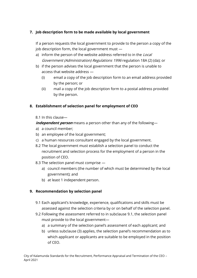# **7. Job description form to be made available by local government**

If a person requests the local government to provide to the person a copy of the job description form, the local government must —

- a) inform the person of the website address referred to in the Local Government (Administration) Regulations <sup>1996</sup>regulation 18A (2) (da); or
- b) if the person advises the local government that the person is unable to access that website address —
	- (i) email a copy of the job description form to an email address provided by the person; or
	- (ii) mail a copy of the job description form to a postal address provided by the person.

# **8. Establishment of selection panel for employment of CEO**

### 8.1 In this clause—

**independent person** means a person other than any of the following—

- a) a council member;
- b) an employee of the local government;
- c) a human resources consultant engaged by the local government.
- 8.2 The local government must establish a selection panel to conduct the recruitment and selection process for the employment of a person in the position of CEO.
- 8.3 The selection panel must comprise
	- a) council members (the number of which must be determined by the local government); and
	- b) at least 1 independent person.

# **9. Recommendation by selection panel**

- 9.1 Each applicant's knowledge, experience, qualifications and skills must be assessed against the selection criteria by or on behalf of the selection panel.
- 9.2 Following the assessment referred to in subclause 9.1, the selection panel must provide to the local government
	- a) a summary of the selection panel's assessment of each applicant; and
	- b) unless subclause (3) applies, the selection panel's recommendation as to which applicant or applicants are suitable to be employed in the position of CEO.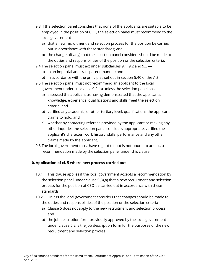- 9.3 If the selection panel considers that none of the applicants are suitable to be employed in the position of CEO, the selection panel must recommend to the local government
	- a) that a new recruitment and selection process for the position be carried out in accordance with these standards; and
	- b) the changes (if any) that the selection panel considers should be made to the duties and responsibilities of the position or the selection criteria.
- 9.4 The selection panel must act under subclauses 9.1, 9.2 and 9.3
	- a) in an impartial and transparent manner; and
	- b) in accordance with the principles set out in section 5.40 of the Act.
- 9.5 The selection panel must not recommend an applicant to the local government under subclause 9.2 (b) unless the selection panel has
	- a) assessed the applicant as having demonstrated that the applicant's knowledge, experience, qualifications and skills meet the selection criteria; and
	- b) verified any academic, or other tertiary level, qualifications the applicant claims to hold; and
	- c) whether by contacting referees provided by the applicant or making any other inquiries the selection panel considers appropriate, verified the applicant's character, work history, skills, performance and any other claims made by the applicant.
- 9.6 The local government must have regard to, but is not bound to accept, a recommendation made by the selection panel under this clause.

# **10. Application of cl. 5 where new process carried out**

- 10.1 This clause applies if the local government accepts a recommendation by the selection panel under clause 9(3)(a) that a new recruitment and selection process for the position of CEO be carried out in accordance with these standards.
- 10.2 Unless the local government considers that changes should be made to the duties and responsibilities of the position or the selection criteria
	- a) Clause 5 does not apply to the new recruitment and selection process; and
	- b) the job description form previously approved by the local government under clause 5.2 is the job description form for the purposes of the new recruitment and selection process.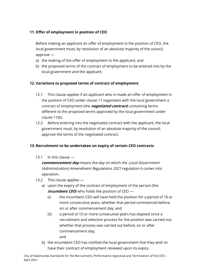# **11. Offer of employment in position of CEO**

Before making an applicant an offer of employment in the position of CEO, the local government must, by resolution of an absolute majority of the council, approve —

- a) the making of the offer of employment to the applicant; and
- b) the proposed terms of the contract of employment to be entered into by the local government and the applicant.

# **12. Variations to proposed terms of contract of employment**

- 12.1 This clause applies if an applicant who is made an offer of employment in the position of CEO under clause 11 negotiates with the local government a contract of employment (the **negotiated contract**) containing terms different to the proposed terms approved by the local government under clause 11(b).
- 12.2 Before entering into the negotiated contract with the applicant, the local government must, by resolution of an absolute majority of the council, approve the terms of the negotiated contract.

# **13. Recruitment to be undertaken on expiry of certain CEO contracts**

13.1 In this clause —

**commencement day** means the day on which the Local Government (Administration) Amendment Regulations <sup>2021</sup> regulation 6 comes into operation.

- 13.2 This clause applies
	- a) upon the expiry of the contract of employment of the person (the **incumbent CEO**) who holds the position of CEO —
		- (i) the incumbent CEO will have held the position for a period of 10 or more consecutive years, whether that period commenced before, on or after commencement day; and
		- (ii) a period of 10 or more consecutive years has elapsed since a recruitment and selection process for the position was carried out, whether that process was carried out before, on or after commencement day;
			- and
	- b) the incumbent CEO has notified the local government that they wish to have their contract of employment renewed upon its expiry.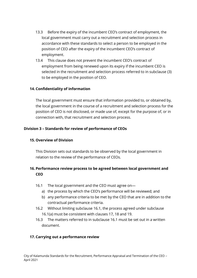- 13.3 Before the expiry of the incumbent CEO's contract of employment, the local government must carry out a recruitment and selection process in accordance with these standards to select a person to be employed in the position of CEO after the expiry of the incumbent CEO's contract of employment.
- 13.4 This clause does not prevent the incumbent CEO's contract of employment from being renewed upon its expiry if the incumbent CEO is selected in the recruitment and selection process referred to in subclause (3) to be employed in the position of CEO.

### **14. Confidentiality of information**

The local government must ensure that information provided to, or obtained by, the local government in the course of a recruitment and selection process for the position of CEO is not disclosed, or made use of, except for the purpose of, or in connection with, that recruitment and selection process.

### **Division 3 – Standards for review of performance of CEOs**

### **15. Overview of Division**

This Division sets out standards to be observed by the local government in relation to the review of the performance of CEOs.

# **16. Performance review process to be agreed between local government and CEO**

- 16.1 The local government and the CEO must agree on
	- a) the process by which the CEO's performance will be reviewed; and
	- b) any performance criteria to be met by the CEO that are in addition to the contractual performance criteria.
- 16.2 Without limiting subclause 16.1, the process agreed under subclause 16.1(a) must be consistent with clauses 17, 18 and 19.
- 16.3 The matters referred to in subclause 16.1 must be set out in a written document.

# **17. Carrying out a performance review**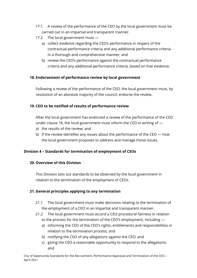- 17.1 A review of the performance of the CEO by the local government must be carried out in an impartial and transparent manner.
- 17.2 The local government must
	- a) collect evidence regarding the CEO's performance in respect of the contractual performance criteria and any additional performance criteria in a thorough and comprehensive manner; and
	- b) review the CEO's performance against the contractual performance criteria and any additional performance criteria, based on that evidence.

#### **18. Endorsement of performance review by local government**

Following a review of the performance of the CEO, the local government must, by resolution of an absolute majority of the council, endorse the review.

#### **19. CEO to be notified of results of performance review**

After the local government has endorsed a review of the performance of the CEO under clause 18, the local government must inform the CEO in writing of —

- a) the results of the review; and
- b) if the review identifies any issues about the performance of the CEO how the local government proposes to address and manage those issues.

### **Division 4 – Standards for termination of employment of CEOs**

#### **20. Overview of this Division**

This Division sets out standards to be observed by the local government in relation to the termination of the employment of CEOs.

### **21. General principles applying to any termination**

- 21.1 The local government must make decisions relating to the termination of the employment of a CEO in an impartial and transparent manner.
- 21.2 The local government must accord a CEO procedural fairness in relation to the process for the termination of the CEO's employment, including
	- a) informing the CEO of the CEO's rights, entitlements and responsibilities in relation to the termination process; and
	- b) notifying the CEO of any allegations against the CEO; and
	- c) giving the CEO a reasonable opportunity to respond to the allegations; and